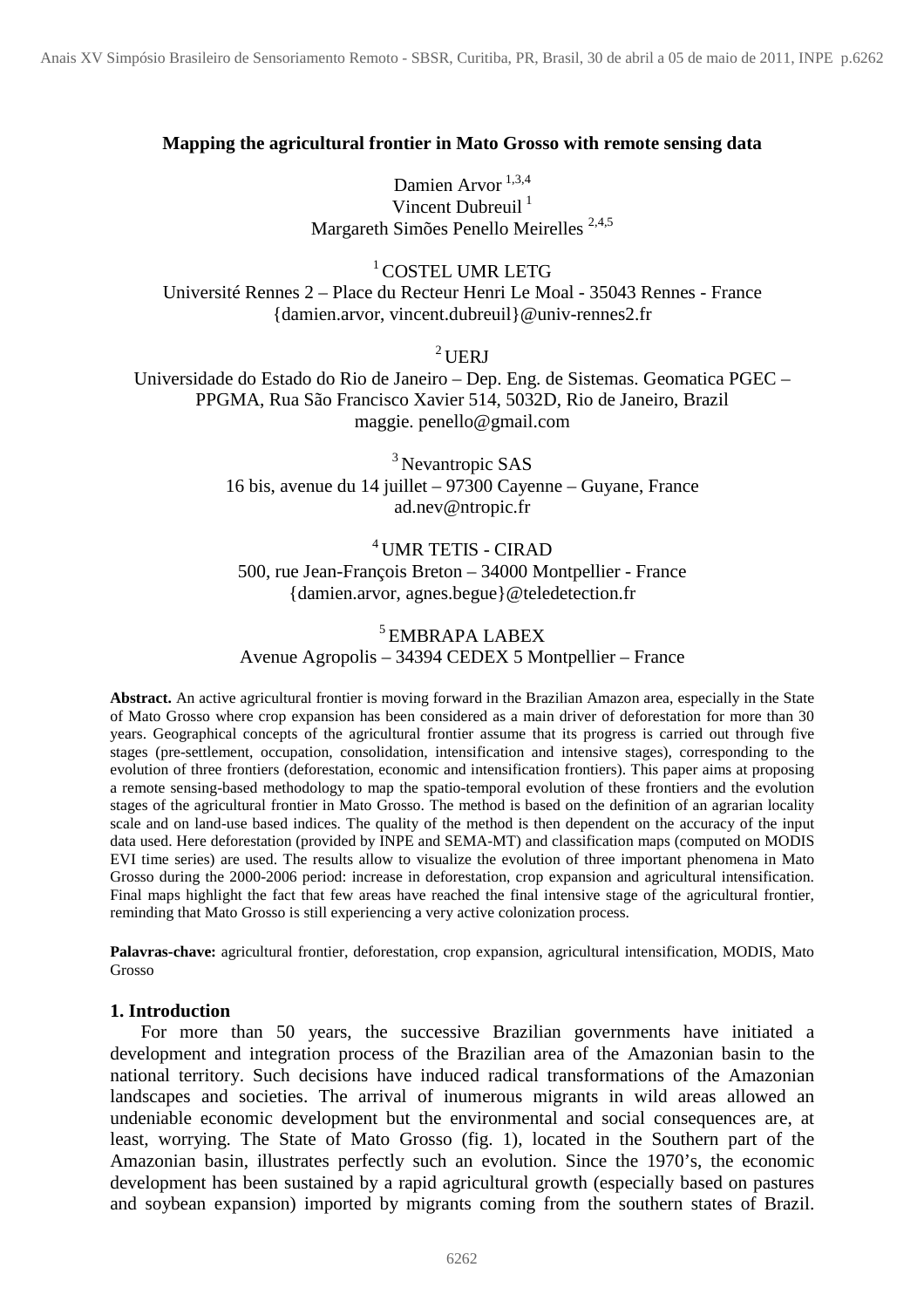## **Mapping the agricultural frontier in Mato Grosso with remote sensing data**

Damien Arvor<sup>1,3,4</sup> Vincent Dubreuil<sup>1</sup> Margareth Simões Penello Meirelles 2,4,5

<sup>1</sup>COSTEL UMR LETG Université Rennes 2 – Place du Recteur Henri Le Moal - 35043 Rennes - France {damien.arvor, vincent.dubreuil}@univ-rennes2.fr

 $2$  UERJ

Universidade do Estado do Rio de Janeiro – Dep. Eng. de Sistemas. Geomatica PGEC – PPGMA, Rua São Francisco Xavier 514, 5032D, Rio de Janeiro, Brazil maggie. penello@gmail.com

> <sup>3</sup> Nevantropic SAS 16 bis, avenue du 14 juillet – 97300 Cayenne – Guyane, France ad.nev@ntropic.fr

# <sup>4</sup> UMR TETIS - CIRAD 500, rue Jean-François Breton – 34000 Montpellier - France {damien.arvor, agnes.begue}@teledetection.fr

## 5 EMBRAPA LABEX Avenue Agropolis – 34394 CEDEX 5 Montpellier – France

**Abstract.** An active agricultural frontier is moving forward in the Brazilian Amazon area, especially in the State of Mato Grosso where crop expansion has been considered as a main driver of deforestation for more than 30 years. Geographical concepts of the agricultural frontier assume that its progress is carried out through five stages (pre-settlement, occupation, consolidation, intensification and intensive stages), corresponding to the evolution of three frontiers (deforestation, economic and intensification frontiers). This paper aims at proposing a remote sensing-based methodology to map the spatio-temporal evolution of these frontiers and the evolution stages of the agricultural frontier in Mato Grosso. The method is based on the definition of an agrarian locality scale and on land-use based indices. The quality of the method is then dependent on the accuracy of the input data used. Here deforestation (provided by INPE and SEMA-MT) and classification maps (computed on MODIS EVI time series) are used. The results allow to visualize the evolution of three important phenomena in Mato Grosso during the 2000-2006 period: increase in deforestation, crop expansion and agricultural intensification. Final maps highlight the fact that few areas have reached the final intensive stage of the agricultural frontier, reminding that Mato Grosso is still experiencing a very active colonization process.

**Palavras-chave:** agricultural frontier, deforestation, crop expansion, agricultural intensification, MODIS, Mato Grosso

#### **1. Introduction**

For more than 50 years, the successive Brazilian governments have initiated a development and integration process of the Brazilian area of the Amazonian basin to the national territory. Such decisions have induced radical transformations of the Amazonian landscapes and societies. The arrival of inumerous migrants in wild areas allowed an undeniable economic development but the environmental and social consequences are, at least, worrying. The State of Mato Grosso (fig. 1), located in the Southern part of the Amazonian basin, illustrates perfectly such an evolution. Since the 1970's, the economic development has been sustained by a rapid agricultural growth (especially based on pastures and soybean expansion) imported by migrants coming from the southern states of Brazil.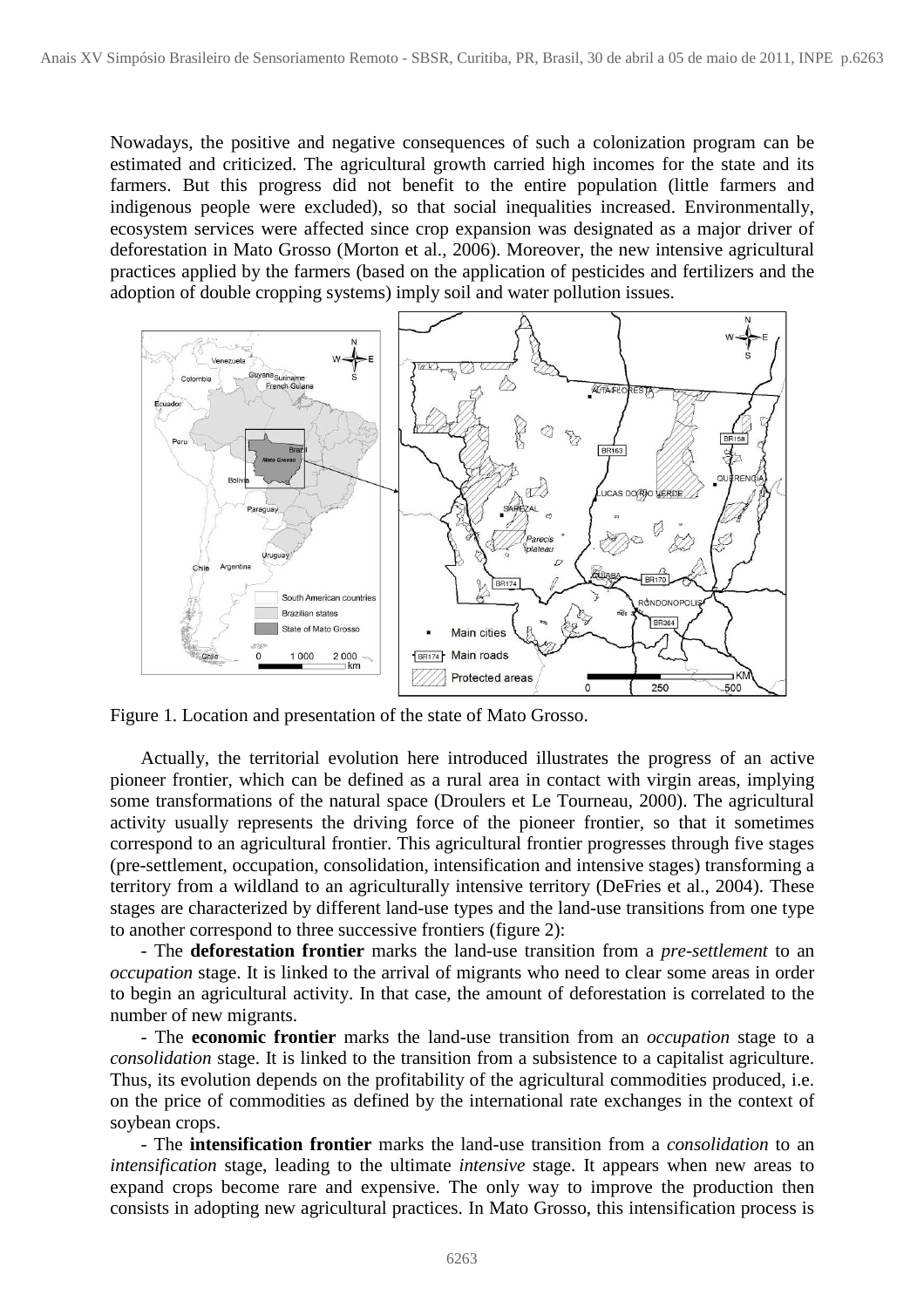Nowadays, the positive and negative consequences of such a colonization program can be estimated and criticized. The agricultural growth carried high incomes for the state and its farmers. But this progress did not benefit to the entire population (little farmers and indigenous people were excluded), so that social inequalities increased. Environmentally, ecosystem services were affected since crop expansion was designated as a major driver of deforestation in Mato Grosso (Morton et al., 2006). Moreover, the new intensive agricultural practices applied by the farmers (based on the application of pesticides and fertilizers and the adoption of double cropping systems) imply soil and water pollution issues.



Figure 1. Location and presentation of the state of Mato Grosso.

Actually, the territorial evolution here introduced illustrates the progress of an active pioneer frontier, which can be defined as a rural area in contact with virgin areas, implying some transformations of the natural space (Droulers et Le Tourneau, 2000). The agricultural activity usually represents the driving force of the pioneer frontier, so that it sometimes correspond to an agricultural frontier. This agricultural frontier progresses through five stages (pre-settlement, occupation, consolidation, intensification and intensive stages) transforming a territory from a wildland to an agriculturally intensive territory (DeFries et al., 2004). These stages are characterized by different land-use types and the land-use transitions from one type to another correspond to three successive frontiers (figure 2):

- The **deforestation frontier** marks the land-use transition from a *pre-settlement* to an *occupation* stage. It is linked to the arrival of migrants who need to clear some areas in order to begin an agricultural activity. In that case, the amount of deforestation is correlated to the number of new migrants.

- The **economic frontier** marks the land-use transition from an *occupation* stage to a *consolidation* stage. It is linked to the transition from a subsistence to a capitalist agriculture. Thus, its evolution depends on the profitability of the agricultural commodities produced, i.e. on the price of commodities as defined by the international rate exchanges in the context of soybean crops.

- The **intensification frontier** marks the land-use transition from a *consolidation* to an *intensification* stage, leading to the ultimate *intensive* stage. It appears when new areas to expand crops become rare and expensive. The only way to improve the production then consists in adopting new agricultural practices. In Mato Grosso, this intensification process is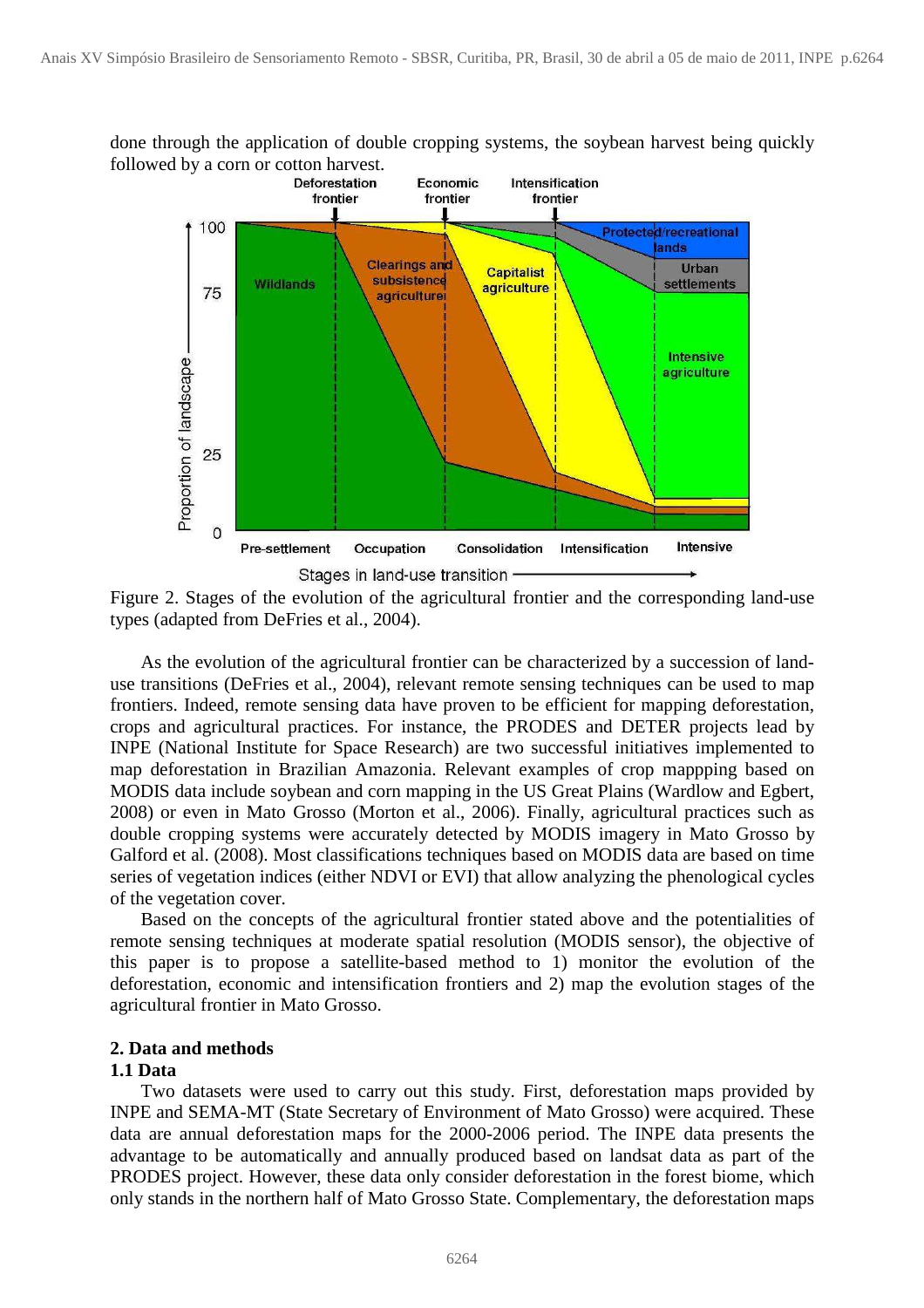

done through the application of double cropping systems, the soybean harvest being quickly

Figure 2. Stages of the evolution of the agricultural frontier and the corresponding land-use types (adapted from DeFries et al., 2004).

As the evolution of the agricultural frontier can be characterized by a succession of landuse transitions (DeFries et al., 2004), relevant remote sensing techniques can be used to map frontiers. Indeed, remote sensing data have proven to be efficient for mapping deforestation, crops and agricultural practices. For instance, the PRODES and DETER projects lead by INPE (National Institute for Space Research) are two successful initiatives implemented to map deforestation in Brazilian Amazonia. Relevant examples of crop mappping based on MODIS data include soybean and corn mapping in the US Great Plains (Wardlow and Egbert, 2008) or even in Mato Grosso (Morton et al., 2006). Finally, agricultural practices such as double cropping systems were accurately detected by MODIS imagery in Mato Grosso by Galford et al. (2008). Most classifications techniques based on MODIS data are based on time series of vegetation indices (either NDVI or EVI) that allow analyzing the phenological cycles of the vegetation cover.

Based on the concepts of the agricultural frontier stated above and the potentialities of remote sensing techniques at moderate spatial resolution (MODIS sensor), the objective of this paper is to propose a satellite-based method to 1) monitor the evolution of the deforestation, economic and intensification frontiers and 2) map the evolution stages of the agricultural frontier in Mato Grosso.

## **2. Data and methods**

#### **1.1 Data**

 Two datasets were used to carry out this study. First, deforestation maps provided by INPE and SEMA-MT (State Secretary of Environment of Mato Grosso) were acquired. These data are annual deforestation maps for the 2000-2006 period. The INPE data presents the advantage to be automatically and annually produced based on landsat data as part of the PRODES project. However, these data only consider deforestation in the forest biome, which only stands in the northern half of Mato Grosso State. Complementary, the deforestation maps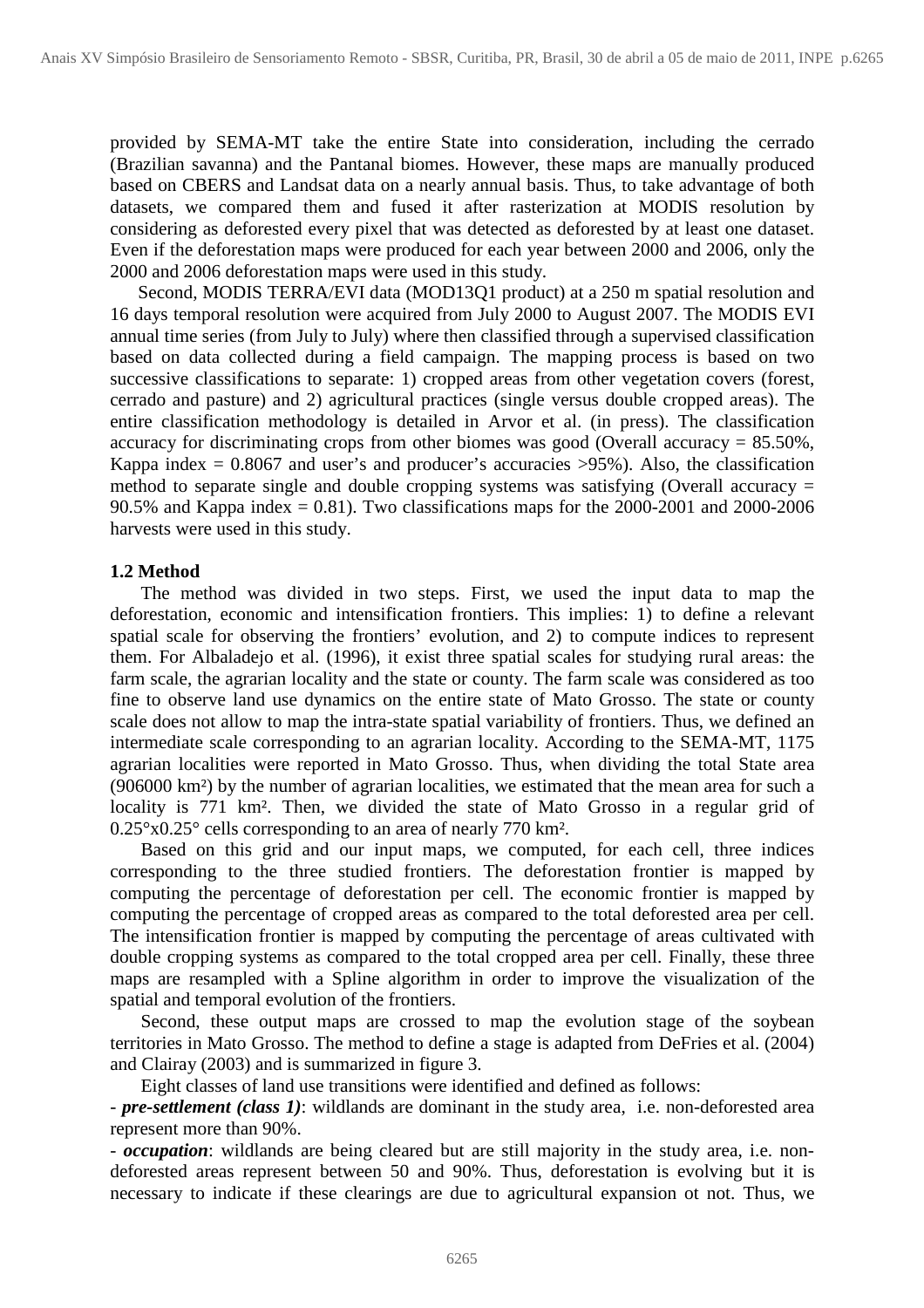provided by SEMA-MT take the entire State into consideration, including the cerrado (Brazilian savanna) and the Pantanal biomes. However, these maps are manually produced based on CBERS and Landsat data on a nearly annual basis. Thus, to take advantage of both datasets, we compared them and fused it after rasterization at MODIS resolution by considering as deforested every pixel that was detected as deforested by at least one dataset. Even if the deforestation maps were produced for each year between 2000 and 2006, only the 2000 and 2006 deforestation maps were used in this study.

Second, MODIS TERRA/EVI data (MOD13Q1 product) at a 250 m spatial resolution and 16 days temporal resolution were acquired from July 2000 to August 2007. The MODIS EVI annual time series (from July to July) where then classified through a supervised classification based on data collected during a field campaign. The mapping process is based on two successive classifications to separate: 1) cropped areas from other vegetation covers (forest, cerrado and pasture) and 2) agricultural practices (single versus double cropped areas). The entire classification methodology is detailed in Arvor et al. (in press). The classification accuracy for discriminating crops from other biomes was good (Overall accuracy = 85.50%, Kappa index  $= 0.8067$  and user's and producer's accuracies  $>95\%$ ). Also, the classification method to separate single and double cropping systems was satisfying (Overall accuracy  $=$ 90.5% and Kappa index = 0.81). Two classifications maps for the  $2000-2001$  and  $2000-2006$ harvests were used in this study.

### **1.2 Method**

 The method was divided in two steps. First, we used the input data to map the deforestation, economic and intensification frontiers. This implies: 1) to define a relevant spatial scale for observing the frontiers' evolution, and 2) to compute indices to represent them. For Albaladejo et al. (1996), it exist three spatial scales for studying rural areas: the farm scale, the agrarian locality and the state or county. The farm scale was considered as too fine to observe land use dynamics on the entire state of Mato Grosso. The state or county scale does not allow to map the intra-state spatial variability of frontiers. Thus, we defined an intermediate scale corresponding to an agrarian locality. According to the SEMA-MT, 1175 agrarian localities were reported in Mato Grosso. Thus, when dividing the total State area (906000 km²) by the number of agrarian localities, we estimated that the mean area for such a locality is 771 km². Then, we divided the state of Mato Grosso in a regular grid of 0.25°x0.25° cells corresponding to an area of nearly 770 km².

 Based on this grid and our input maps, we computed, for each cell, three indices corresponding to the three studied frontiers. The deforestation frontier is mapped by computing the percentage of deforestation per cell. The economic frontier is mapped by computing the percentage of cropped areas as compared to the total deforested area per cell. The intensification frontier is mapped by computing the percentage of areas cultivated with double cropping systems as compared to the total cropped area per cell. Finally, these three maps are resampled with a Spline algorithm in order to improve the visualization of the spatial and temporal evolution of the frontiers.

Second, these output maps are crossed to map the evolution stage of the soybean territories in Mato Grosso. The method to define a stage is adapted from DeFries et al. (2004) and Clairay (2003) and is summarized in figure 3.

Eight classes of land use transitions were identified and defined as follows:

- *pre-settlement (class 1)*: wildlands are dominant in the study area, i.e. non-deforested area represent more than 90%.

- *occupation*: wildlands are being cleared but are still majority in the study area, i.e. nondeforested areas represent between 50 and 90%. Thus, deforestation is evolving but it is necessary to indicate if these clearings are due to agricultural expansion ot not. Thus, we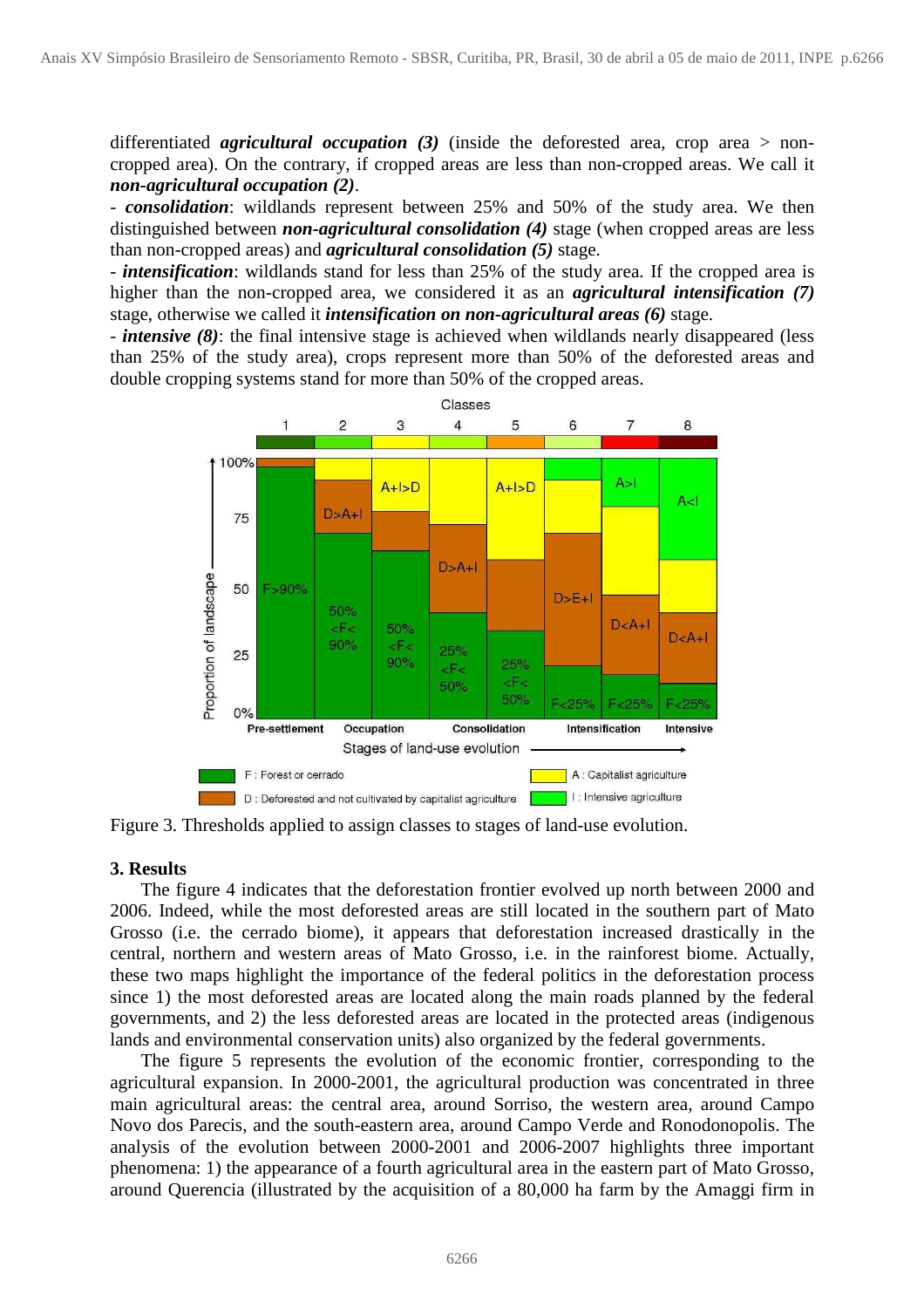differentiated *agricultural occupation* (3) (inside the deforested area, crop area > noncropped area). On the contrary, if cropped areas are less than non-cropped areas. We call it *non-agricultural occupation (2)*.

- *consolidation*: wildlands represent between 25% and 50% of the study area. We then distinguished between *non-agricultural consolidation (4)* stage (when cropped areas are less than non-cropped areas) and *agricultural consolidation (5)* stage.

- *intensification*: wildlands stand for less than 25% of the study area. If the cropped area is higher than the non-cropped area, we considered it as an *agricultural intensification (7)* stage, otherwise we called it *intensification on non-agricultural areas (6)* stage.

- *intensive (8)*: the final intensive stage is achieved when wildlands nearly disappeared (less than 25% of the study area), crops represent more than 50% of the deforested areas and double cropping systems stand for more than 50% of the cropped areas.



Figure 3. Thresholds applied to assign classes to stages of land-use evolution.

#### **3. Results**

 The figure 4 indicates that the deforestation frontier evolved up north between 2000 and 2006. Indeed, while the most deforested areas are still located in the southern part of Mato Grosso (i.e. the cerrado biome), it appears that deforestation increased drastically in the central, northern and western areas of Mato Grosso, i.e. in the rainforest biome. Actually, these two maps highlight the importance of the federal politics in the deforestation process since 1) the most deforested areas are located along the main roads planned by the federal governments, and 2) the less deforested areas are located in the protected areas (indigenous lands and environmental conservation units) also organized by the federal governments.

The figure 5 represents the evolution of the economic frontier, corresponding to the agricultural expansion. In 2000-2001, the agricultural production was concentrated in three main agricultural areas: the central area, around Sorriso, the western area, around Campo Novo dos Parecis, and the south-eastern area, around Campo Verde and Ronodonopolis. The analysis of the evolution between 2000-2001 and 2006-2007 highlights three important phenomena: 1) the appearance of a fourth agricultural area in the eastern part of Mato Grosso, around Querencia (illustrated by the acquisition of a 80,000 ha farm by the Amaggi firm in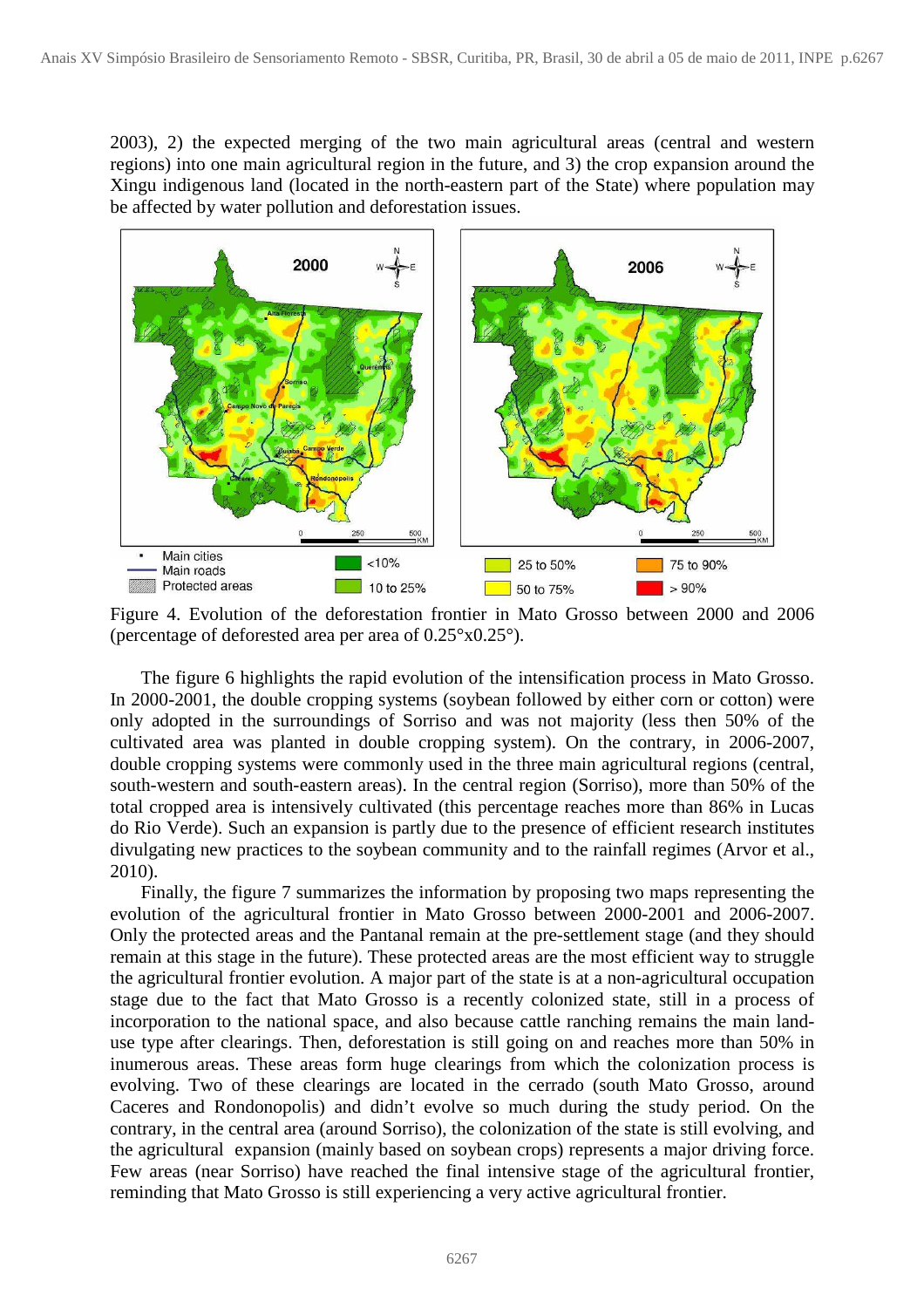2003), 2) the expected merging of the two main agricultural areas (central and western regions) into one main agricultural region in the future, and 3) the crop expansion around the Xingu indigenous land (located in the north-eastern part of the State) where population may be affected by water pollution and deforestation issues.



Figure 4. Evolution of the deforestation frontier in Mato Grosso between 2000 and 2006 (percentage of deforested area per area of 0.25°x0.25°).

The figure 6 highlights the rapid evolution of the intensification process in Mato Grosso. In 2000-2001, the double cropping systems (soybean followed by either corn or cotton) were only adopted in the surroundings of Sorriso and was not majority (less then 50% of the cultivated area was planted in double cropping system). On the contrary, in 2006-2007, double cropping systems were commonly used in the three main agricultural regions (central, south-western and south-eastern areas). In the central region (Sorriso), more than 50% of the total cropped area is intensively cultivated (this percentage reaches more than 86% in Lucas do Rio Verde). Such an expansion is partly due to the presence of efficient research institutes divulgating new practices to the soybean community and to the rainfall regimes (Arvor et al., 2010).

Finally, the figure 7 summarizes the information by proposing two maps representing the evolution of the agricultural frontier in Mato Grosso between 2000-2001 and 2006-2007. Only the protected areas and the Pantanal remain at the pre-settlement stage (and they should remain at this stage in the future). These protected areas are the most efficient way to struggle the agricultural frontier evolution. A major part of the state is at a non-agricultural occupation stage due to the fact that Mato Grosso is a recently colonized state, still in a process of incorporation to the national space, and also because cattle ranching remains the main landuse type after clearings. Then, deforestation is still going on and reaches more than 50% in inumerous areas. These areas form huge clearings from which the colonization process is evolving. Two of these clearings are located in the cerrado (south Mato Grosso, around Caceres and Rondonopolis) and didn't evolve so much during the study period. On the contrary, in the central area (around Sorriso), the colonization of the state is still evolving, and the agricultural expansion (mainly based on soybean crops) represents a major driving force. Few areas (near Sorriso) have reached the final intensive stage of the agricultural frontier, reminding that Mato Grosso is still experiencing a very active agricultural frontier.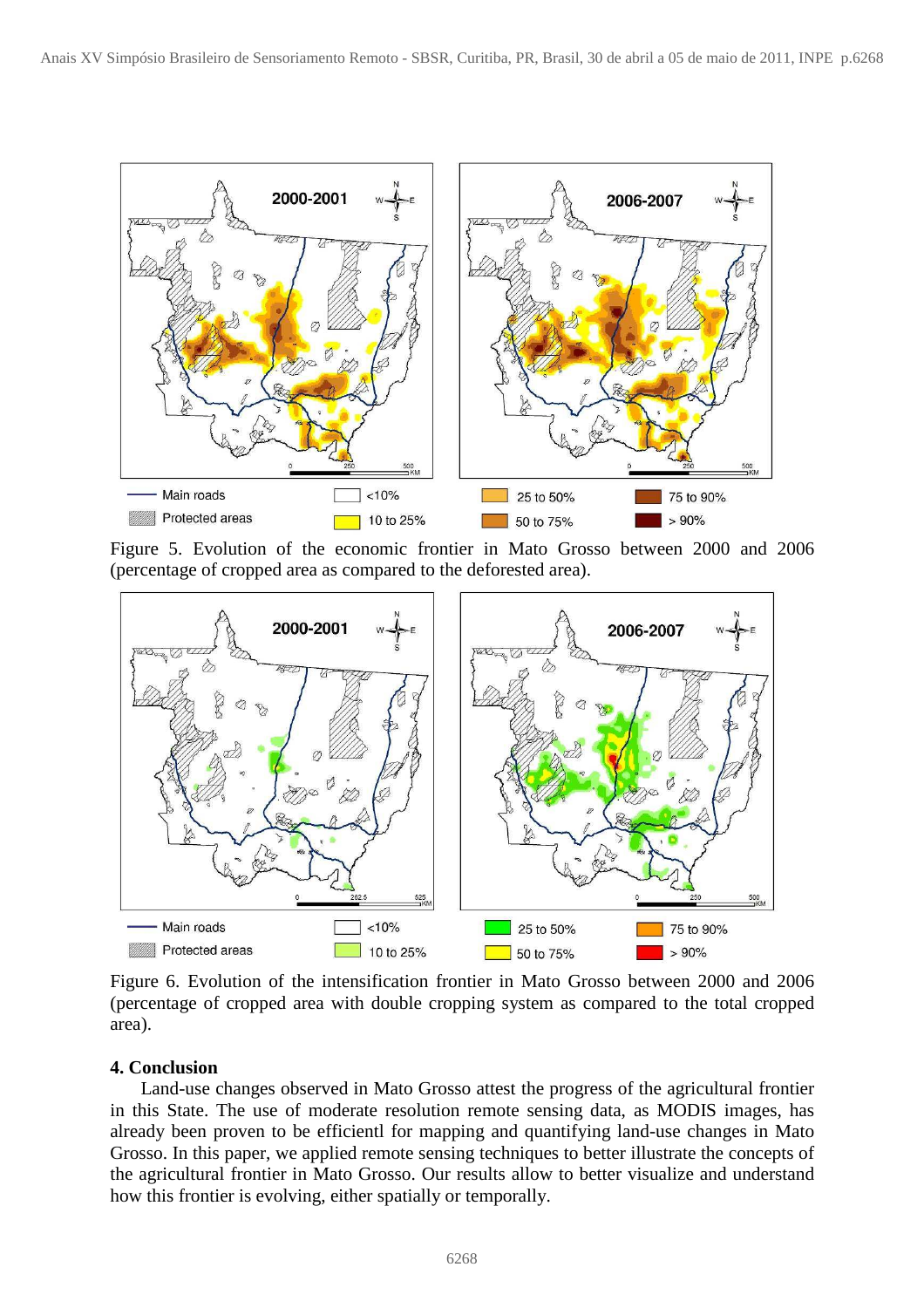

Figure 5. Evolution of the economic frontier in Mato Grosso between 2000 and 2006 (percentage of cropped area as compared to the deforested area).



Figure 6. Evolution of the intensification frontier in Mato Grosso between 2000 and 2006 (percentage of cropped area with double cropping system as compared to the total cropped area).

## **4. Conclusion**

 Land-use changes observed in Mato Grosso attest the progress of the agricultural frontier in this State. The use of moderate resolution remote sensing data, as MODIS images, has already been proven to be efficientl for mapping and quantifying land-use changes in Mato Grosso. In this paper, we applied remote sensing techniques to better illustrate the concepts of the agricultural frontier in Mato Grosso. Our results allow to better visualize and understand how this frontier is evolving, either spatially or temporally.